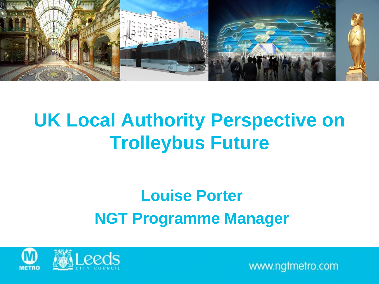

#### **UK Local Authority Perspective on Trolleybus Future**

#### **Louise Porter NGT Programme Manager**

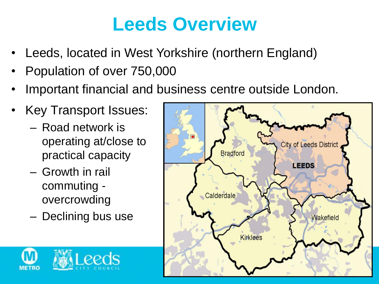#### **Leeds Overview**

- Leeds, located in West Yorkshire (northern England)
- Population of over 750,000
- Important financial and business centre outside London.
- Key Transport Issues:
	- Road network is operating at/close to practical capacity
	- Growth in rail commuting overcrowding
	- Declining bus use



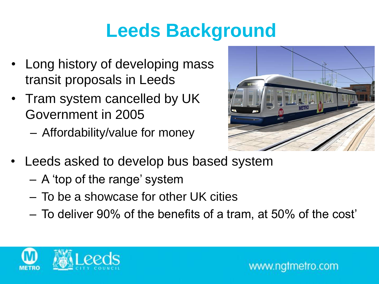## **Leeds Background**

- Long history of developing mass transit proposals in Leeds
- Tram system cancelled by UK Government in 2005
	- Affordability/value for money



- Leeds asked to develop bus based system
	- A 'top of the range' system
	- To be a showcase for other UK cities
	- To deliver 90% of the benefits of a tram, at 50% of the cost'

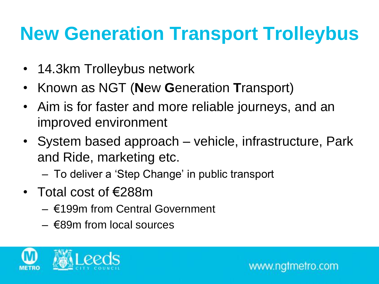## **New Generation Transport Trolleybus**

- 14.3km Trolleybus network
- Known as NGT (**N**ew **G**eneration **T**ransport)
- Aim is for faster and more reliable journeys, and an improved environment
- System based approach vehicle, infrastructure, Park and Ride, marketing etc.
	- To deliver a 'Step Change' in public transport
- Total cost of €288m
	- €199m from Central Government
	- €89m from local sources

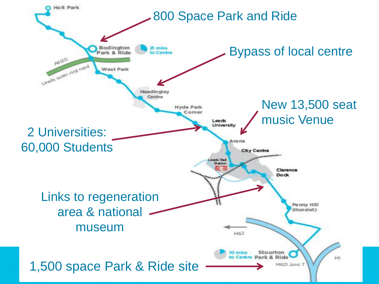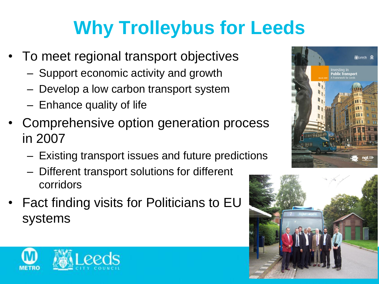# **Why Trolleybus for Leeds**

- To meet regional transport objectives
	- Support economic activity and growth
	- Develop a low carbon transport system
	- Enhance quality of life
- Comprehensive option generation process in 2007
	- Existing transport issues and future predictions
	- Different transport solutions for different corridors
- Fact finding visits for Politicians to EU systems





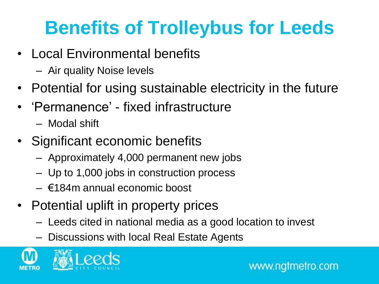## **Benefits of Trolleybus for Leeds**

- Local Environmental benefits
	- Air quality Noise levels
- Potential for using sustainable electricity in the future
- 'Permanence' fixed infrastructure
	- Modal shift
- Significant economic benefits
	- Approximately 4,000 permanent new jobs
	- Up to 1,000 jobs in construction process
	- €184m annual economic boost
- Potential uplift in property prices
	- Leeds cited in national media as a good location to invest
	- Discussions with local Real Estate Agents

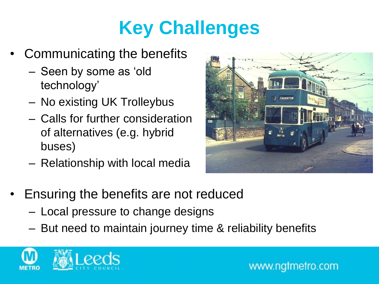## **Key Challenges**

- Communicating the benefits
	- Seen by some as 'old technology'
	- No existing UK Trolleybus
	- Calls for further consideration of alternatives (e.g. hybrid buses)
	- Relationship with local media



- Ensuring the benefits are not reduced
	- Local pressure to change designs
	- But need to maintain journey time & reliability benefits

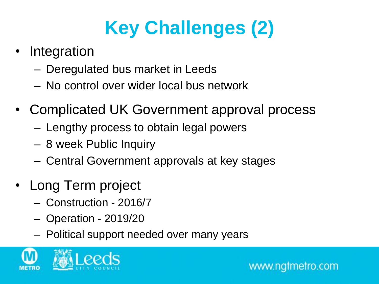# **Key Challenges (2)**

- **Integration** 
	- Deregulated bus market in Leeds
	- No control over wider local bus network
- Complicated UK Government approval process
	- Lengthy process to obtain legal powers
	- 8 week Public Inquiry
	- Central Government approvals at key stages
- Long Term project
	- Construction 2016/7
	- Operation 2019/20
	- Political support needed over many years

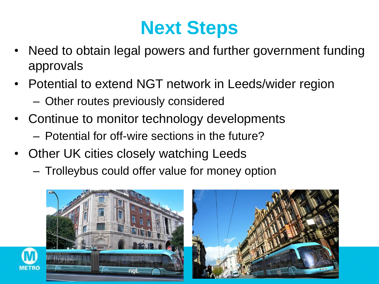### **Next Steps**

- Need to obtain legal powers and further government funding approvals
- Potential to extend NGT network in Leeds/wider region – Other routes previously considered
- Continue to monitor technology developments – Potential for off-wire sections in the future?
- Other UK cities closely watching Leeds
	- Trolleybus could offer value for money option